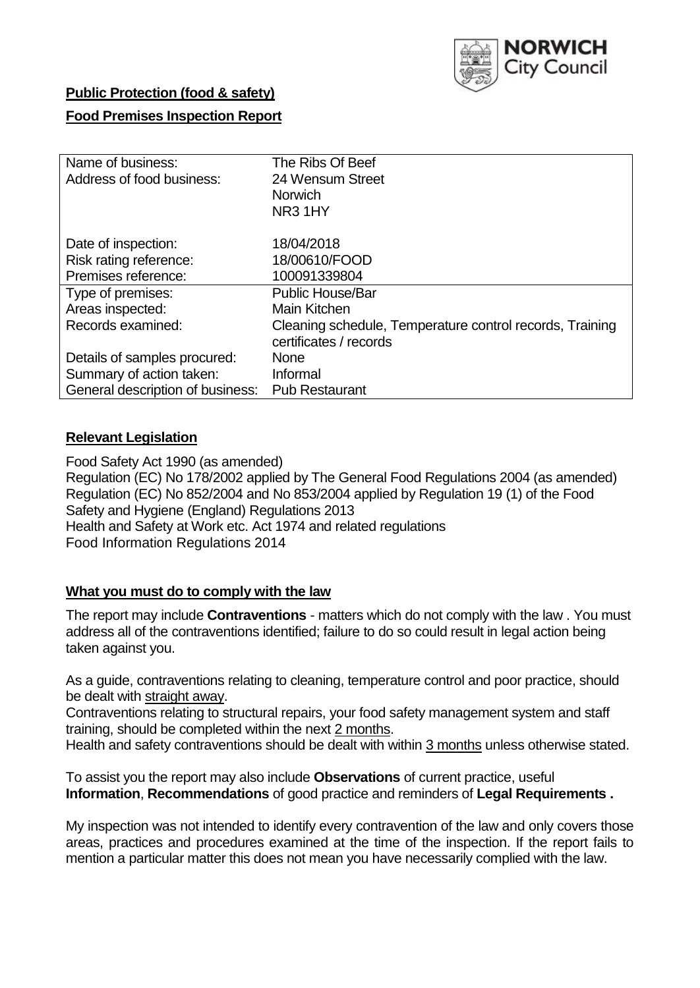

### **Public Protection (food & safety)**

### **Food Premises Inspection Report**

| Name of business:                | The Ribs Of Beef                                         |
|----------------------------------|----------------------------------------------------------|
| Address of food business:        | 24 Wensum Street                                         |
|                                  | <b>Norwich</b>                                           |
|                                  | NR31HY                                                   |
| Date of inspection:              | 18/04/2018                                               |
| Risk rating reference:           | 18/00610/FOOD                                            |
| Premises reference:              | 100091339804                                             |
| Type of premises:                | <b>Public House/Bar</b>                                  |
| Areas inspected:                 | <b>Main Kitchen</b>                                      |
| Records examined:                | Cleaning schedule, Temperature control records, Training |
|                                  | certificates / records                                   |
| Details of samples procured:     | <b>None</b>                                              |
| Summary of action taken:         | Informal                                                 |
| General description of business: | <b>Pub Restaurant</b>                                    |

## **Relevant Legislation**

Food Safety Act 1990 (as amended) Regulation (EC) No 178/2002 applied by The General Food Regulations 2004 (as amended) Regulation (EC) No 852/2004 and No 853/2004 applied by Regulation 19 (1) of the Food Safety and Hygiene (England) Regulations 2013 Health and Safety at Work etc. Act 1974 and related regulations Food Information Regulations 2014

### **What you must do to comply with the law**

The report may include **Contraventions** - matters which do not comply with the law . You must address all of the contraventions identified; failure to do so could result in legal action being taken against you.

As a guide, contraventions relating to cleaning, temperature control and poor practice, should be dealt with straight away.

Contraventions relating to structural repairs, your food safety management system and staff training, should be completed within the next 2 months.

Health and safety contraventions should be dealt with within 3 months unless otherwise stated.

To assist you the report may also include **Observations** of current practice, useful **Information**, **Recommendations** of good practice and reminders of **Legal Requirements .**

My inspection was not intended to identify every contravention of the law and only covers those areas, practices and procedures examined at the time of the inspection. If the report fails to mention a particular matter this does not mean you have necessarily complied with the law.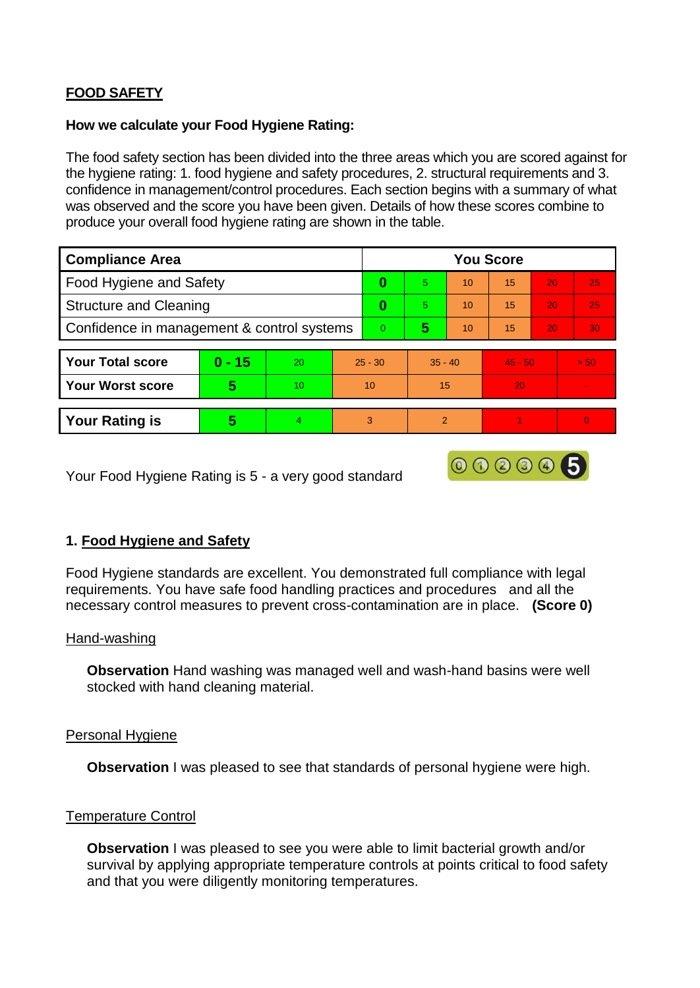# **FOOD SAFETY**

### **How we calculate your Food Hygiene Rating:**

The food safety section has been divided into the three areas which you are scored against for the hygiene rating: 1. food hygiene and safety procedures, 2. structural requirements and 3. confidence in management/control procedures. Each section begins with a summary of what was observed and the score you have been given. Details of how these scores combine to produce your overall food hygiene rating are shown in the table.

| <b>Compliance Area</b>                     |          |    |                | <b>You Score</b> |               |    |           |    |          |  |  |
|--------------------------------------------|----------|----|----------------|------------------|---------------|----|-----------|----|----------|--|--|
| Food Hygiene and Safety                    |          |    |                | 0                | 5.            | 10 | 15        | 20 | 25       |  |  |
| <b>Structure and Cleaning</b>              |          |    | 0              | 5.               | 10            | 15 | 20        | 25 |          |  |  |
| Confidence in management & control systems |          |    | $\overline{0}$ | 5                | 10            | 15 | 20        | 30 |          |  |  |
|                                            |          |    |                |                  |               |    |           |    |          |  |  |
| <b>Your Total score</b>                    | $0 - 15$ | 20 | $25 - 30$      |                  | $35 - 40$     |    | $45 - 50$ |    | > 50     |  |  |
| <b>Your Worst score</b>                    | 5        | 10 | 10             |                  | 15            |    | 20        |    |          |  |  |
|                                            |          |    |                |                  |               |    |           |    |          |  |  |
| <b>Your Rating is</b>                      | 5        |    | 3              |                  | $\mathcal{P}$ |    |           |    | $\Omega$ |  |  |

000005

Your Food Hygiene Rating is 5 - a very good standard

## **1. Food Hygiene and Safety**

Food Hygiene standards are excellent. You demonstrated full compliance with legal requirements. You have safe food handling practices and procedures and all the necessary control measures to prevent cross-contamination are in place. **(Score 0)**

### Hand-washing

**Observation** Hand washing was managed well and wash-hand basins were well stocked with hand cleaning material.

### Personal Hygiene

**Observation** I was pleased to see that standards of personal hygiene were high.

### Temperature Control

**Observation** I was pleased to see you were able to limit bacterial growth and/or survival by applying appropriate temperature controls at points critical to food safety and that you were diligently monitoring temperatures.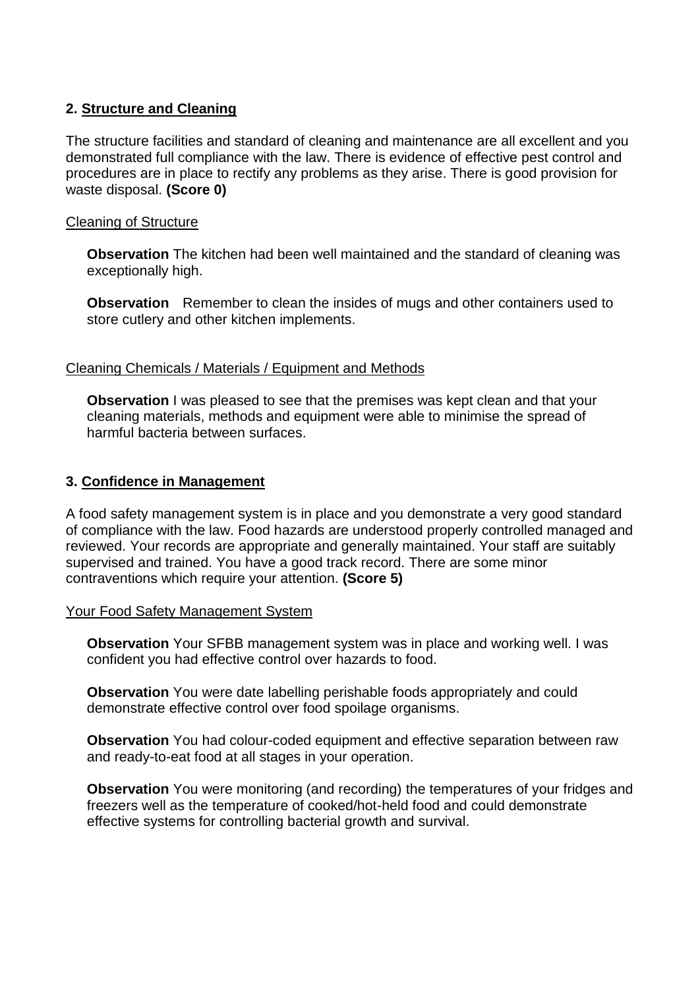## **2. Structure and Cleaning**

The structure facilities and standard of cleaning and maintenance are all excellent and you demonstrated full compliance with the law. There is evidence of effective pest control and procedures are in place to rectify any problems as they arise. There is good provision for waste disposal. **(Score 0)**

### Cleaning of Structure

**Observation** The kitchen had been well maintained and the standard of cleaning was exceptionally high.

**Observation** Remember to clean the insides of mugs and other containers used to store cutlery and other kitchen implements.

### Cleaning Chemicals / Materials / Equipment and Methods

**Observation** I was pleased to see that the premises was kept clean and that your cleaning materials, methods and equipment were able to minimise the spread of harmful bacteria between surfaces.

#### **3. Confidence in Management**

A food safety management system is in place and you demonstrate a very good standard of compliance with the law. Food hazards are understood properly controlled managed and reviewed. Your records are appropriate and generally maintained. Your staff are suitably supervised and trained. You have a good track record. There are some minor contraventions which require your attention. **(Score 5)**

#### Your Food Safety Management System

**Observation** Your SFBB management system was in place and working well. I was confident you had effective control over hazards to food.

**Observation** You were date labelling perishable foods appropriately and could demonstrate effective control over food spoilage organisms.

**Observation** You had colour-coded equipment and effective separation between raw and ready-to-eat food at all stages in your operation.

**Observation** You were monitoring (and recording) the temperatures of your fridges and freezers well as the temperature of cooked/hot-held food and could demonstrate effective systems for controlling bacterial growth and survival.